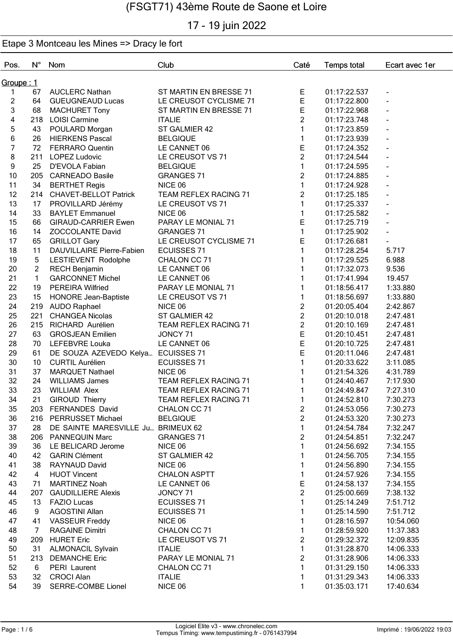# 17 - 19 juin 2022

| Pos.           | $N^{\circ}$    | Nom                                | Club                         | Caté           | <b>Temps total</b> | Ecart avec 1er           |
|----------------|----------------|------------------------------------|------------------------------|----------------|--------------------|--------------------------|
| Groupe : 1     |                |                                    |                              |                |                    |                          |
| 1.             | 67             | <b>AUCLERC Nathan</b>              | ST MARTIN EN BRESSE 71       | Е              | 01:17:22.537       | $\blacksquare$           |
| $\overline{2}$ | 64             | <b>GUEUGNEAUD Lucas</b>            | LE CREUSOT CYCLISME 71       | E              | 01:17:22.800       | $\blacksquare$           |
| 3              | 68             | <b>MACHURET Tony</b>               | ST MARTIN EN BRESSE 71       | E              | 01:17:22.968       | $\overline{\phantom{a}}$ |
| 4              | 218            | <b>LOISI Carmine</b>               | <b>ITALIE</b>                | $\overline{2}$ | 01:17:23.748       | ÷,                       |
| 5              | 43             | POULARD Morgan                     | ST GALMIER 42                | $\mathbf{1}$   | 01:17:23.859       |                          |
| 6              | 26             | <b>HIERKENS Pascal</b>             | <b>BELGIQUE</b>              | $\mathbf{1}$   | 01:17:23.939       |                          |
| 7              | 72             | <b>FERRARO Quentin</b>             | LE CANNET 06                 | E              | 01:17:24.352       |                          |
| 8              | 211            | <b>LOPEZ Ludovic</b>               | LE CREUSOT VS 71             | $\overline{c}$ | 01:17:24.544       |                          |
| 9              | 25             | D'EVOLA Fabian                     | <b>BELGIQUE</b>              | $\mathbf{1}$   | 01:17:24.595       |                          |
| 10             |                | 205 CARNEADO Basile                | <b>GRANGES 71</b>            | $\overline{2}$ | 01:17:24.885       |                          |
| 11             | 34             | <b>BERTHET Regis</b>               | NICE 06                      | $\mathbf{1}$   | 01:17:24.928       |                          |
| 12             |                | 214 CHAVET-BELLOT Patrick          | <b>TEAM REFLEX RACING 71</b> | $\overline{2}$ | 01:17:25.185       |                          |
| 13             | 17             | PROVILLARD Jérémy                  | LE CREUSOT VS 71             | $\mathbf{1}$   | 01:17:25.337       |                          |
| 14             | 33             | <b>BAYLET Emmanuel</b>             | NICE 06                      | $\mathbf{1}$   | 01:17:25.582       |                          |
| 15             | 66             | <b>GIRAUD-CARRIER Ewen</b>         | PARAY LE MONIAL 71           | E              | 01:17:25.719       |                          |
| 16             | 14             | <b>ZOCCOLANTE David</b>            | <b>GRANGES 71</b>            | $\mathbf{1}$   | 01:17:25.902       |                          |
| 17             | 65             | <b>GRILLOT Gary</b>                | LE CREUSOT CYCLISME 71       | E              | 01:17:26.681       |                          |
| 18             | 11             | DAUVILLAIRE Pierre-Fabien          | <b>ECUISSES 71</b>           | $\mathbf{1}$   | 01:17:28.254       | 5.717                    |
|                | $\overline{5}$ |                                    |                              | 1              |                    |                          |
| 19             |                | LESTIEVENT Rodolphe                | CHALON CC 71                 |                | 01:17:29.525       | 6.988                    |
| 20             | $\overline{2}$ | <b>RECH Benjamin</b>               | LE CANNET 06                 | $\mathbf{1}$   | 01:17:32.073       | 9.536                    |
| 21             | $\mathbf{1}$   | <b>GARCONNET Michel</b>            | LE CANNET 06                 | $\mathbf{1}$   | 01:17:41.994       | 19.457                   |
| 22             | 19             | <b>PEREIRA Wilfried</b>            | PARAY LE MONIAL 71           | 1              | 01:18:56.417       | 1:33.880                 |
| 23             | 15             | <b>HONORE Jean-Baptiste</b>        | LE CREUSOT VS 71             | 1              | 01:18:56.697       | 1:33.880                 |
| 24             | 219            | <b>AUDO Raphael</b>                | NICE 06                      | $\overline{2}$ | 01:20:05.404       | 2:42.867                 |
| 25             | 221            | CHANGEA Nicolas                    | ST GALMIER 42                | $\overline{c}$ | 01:20:10.018       | 2:47.481                 |
| 26             | 215            | RICHARD Aurélien                   | TEAM REFLEX RACING 71        | $\overline{2}$ | 01:20:10.169       | 2:47.481                 |
| 27             | 63             | <b>GROSJEAN Emilien</b>            | JONCY 71                     | E              | 01:20:10.451       | 2:47.481                 |
| 28             | 70             | LEFEBVRE Louka                     | LE CANNET 06                 | E              | 01:20:10.725       | 2:47.481                 |
| 29             | 61             | DE SOUZA AZEVEDO Kelya ECUISSES 71 |                              | E              | 01:20:11.046       | 2:47.481                 |
| 30             | 10             | <b>CURTIL Aurélien</b>             | <b>ECUISSES 71</b>           | 1              | 01:20:33.622       | 3:11.085                 |
| 31             | 37             | <b>MARQUET Nathael</b>             | NICE 06                      | 1              | 01:21:54.326       | 4:31.789                 |
| 32             | 24             | <b>WILLIAMS James</b>              | TEAM REFLEX RACING 71        | 1              | 01:24:40.467       | 7:17.930                 |
| 33             | 23             | <b>WILLIAM Alex</b>                | TEAM REFLEX RACING 71        | 1              | 01:24:49.847       | 7:27.310                 |
| 34             | 21             | <b>GIROUD Thierry</b>              | TEAM REFLEX RACING 71        | $\mathbf{1}$   | 01:24:52.810       | 7:30.273                 |
| 35             |                | 203 FERNANDES David                | CHALON CC 71                 | $\overline{c}$ | 01:24:53.056       | 7:30.273                 |
| 36             |                | 216 PERRUSSET Michael              | <b>BELGIQUE</b>              | $\overline{2}$ | 01:24:53.320       | 7:30.273                 |
| 37             | 28             | DE SAINTE MARESVILLE Ju BRIMEUX 62 |                              | $\mathbf{1}$   | 01:24:54.784       | 7:32.247                 |
| 38             | 206            | <b>PANNEQUIN Marc</b>              | <b>GRANGES 71</b>            | $\overline{c}$ | 01:24:54.851       | 7:32.247                 |
| 39             | 36             | LE BELICARD Jerome                 | NICE 06                      | 1              | 01:24:56.692       | 7:34.155                 |
| 40             | 42             | <b>GARIN Clément</b>               | ST GALMIER 42                | 1              | 01:24:56.705       | 7:34.155                 |
| 41             | 38             | RAYNAUD David                      | NICE 06                      | 1              | 01:24:56.890       | 7:34.155                 |
| 42             | 4              | <b>HUOT Vincent</b>                | <b>CHALON ASPTT</b>          | $\mathbf{1}$   | 01:24:57.926       | 7:34.155                 |
| 43             | 71             | <b>MARTINEZ Noah</b>               | LE CANNET 06                 | Е              | 01:24:58.137       | 7:34.155                 |
| 44             | 207            | <b>GAUDILLIERE Alexis</b>          | JONCY 71                     | $\overline{c}$ | 01:25:00.669       | 7:38.132                 |
| 45             | 13             | <b>FAZIO Lucas</b>                 | <b>ECUISSES 71</b>           | $\mathbf{1}$   | 01:25:14.249       | 7:51.712                 |
| 46             | 9              | <b>AGOSTINI Allan</b>              | <b>ECUISSES 71</b>           | 1              | 01:25:14.590       | 7:51.712                 |
| 47             | 41             | <b>VASSEUR Freddy</b>              | NICE 06                      | 1              | 01:28:16.597       | 10:54.060                |
| 48             | 7              | <b>RAGAINE Dimitri</b>             | CHALON CC 71                 | 1              | 01:28:59.920       | 11:37.383                |
| 49             | 209            | <b>HURET Eric</b>                  | LE CREUSOT VS 71             | $\overline{c}$ | 01:29:32.372       | 12:09.835                |
| 50             | 31             | <b>ALMONACIL Sylvain</b>           | <b>ITALIE</b>                | $\mathbf{1}$   | 01:31:28.870       | 14:06.333                |
| 51             |                |                                    |                              | $\overline{c}$ |                    |                          |
| 52             | 213            | <b>DEMANCHE Eric</b>               | PARAY LE MONIAL 71           |                | 01:31:28.906       | 14:06.333                |
| 53             | 6              | PERI Laurent                       | CHALON CC 71                 | 1              | 01:31:29.150       | 14:06.333                |
|                | 32             | <b>CROCI Alan</b>                  | <b>ITALIE</b>                | 1              | 01:31:29.343       | 14:06.333                |
| 54             | 39             | SERRE-COMBE Lionel                 | NICE 06                      | 1              | 01:35:03.171       | 17:40.634                |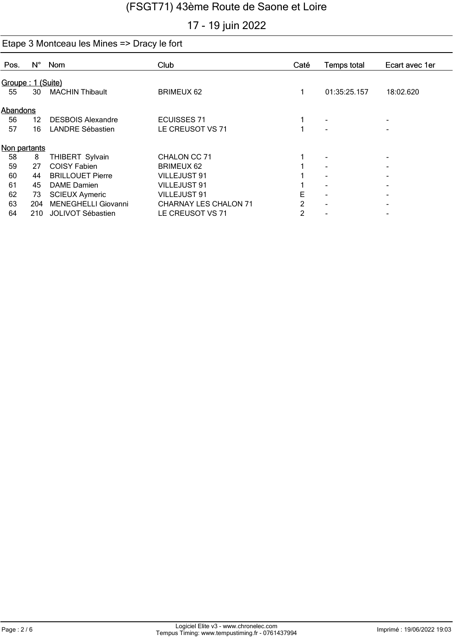# 17 - 19 juin 2022

| Pos.         | $N^{\circ}$       | Nom                      | Club                         | Caté           | Temps total  | Ecart avec 1er |  |  |  |  |
|--------------|-------------------|--------------------------|------------------------------|----------------|--------------|----------------|--|--|--|--|
|              | Groupe: 1 (Suite) |                          |                              |                |              |                |  |  |  |  |
| 55           | 30                | <b>MACHIN Thibault</b>   | <b>BRIMEUX 62</b>            |                | 01:35:25.157 | 18:02.620      |  |  |  |  |
|              | Abandons          |                          |                              |                |              |                |  |  |  |  |
| 56           | 12                | <b>DESBOIS Alexandre</b> | <b>ECUISSES 71</b>           |                |              | ۰              |  |  |  |  |
| 57           | 16                | <b>LANDRE Sébastien</b>  | LE CREUSOT VS 71             |                |              | ۰              |  |  |  |  |
| Non partants |                   |                          |                              |                |              |                |  |  |  |  |
| 58           | 8                 | THIBERT Sylvain          | CHALON CC 71                 |                |              |                |  |  |  |  |
| 59           | 27                | <b>COISY Fabien</b>      | <b>BRIMEUX 62</b>            |                |              |                |  |  |  |  |
| 60           | 44                | <b>BRILLOUET Pierre</b>  | VILLEJUST 91                 |                |              |                |  |  |  |  |
| 61           | 45                | DAME Damien              | <b>VILLEJUST 91</b>          |                |              |                |  |  |  |  |
| 62           | 73                | <b>SCIEUX Aymeric</b>    | <b>VILLEJUST 91</b>          | E              |              |                |  |  |  |  |
| 63           | 204               | MENEGHELLI Giovanni      | <b>CHARNAY LES CHALON 71</b> | 2              |              |                |  |  |  |  |
| 64           | 210               | JOLIVOT Sébastien        | LE CREUSOT VS 71             | $\overline{2}$ |              |                |  |  |  |  |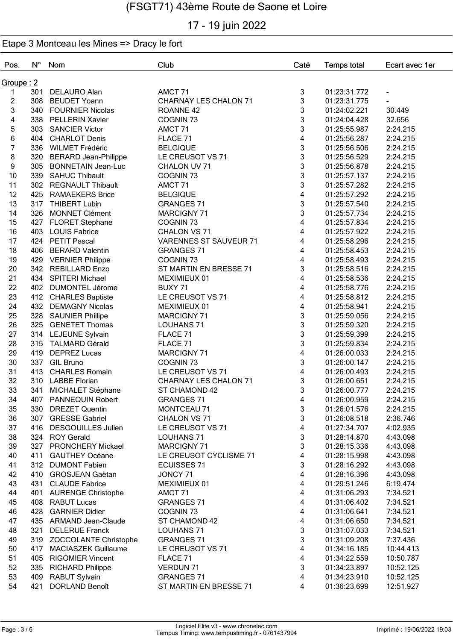## 17 - 19 juin 2022

| Pos.                    | $N^{\circ}$        | Nom                         | Club                          | Caté                    | <b>Temps total</b> | Ecart avec 1er |  |  |  |
|-------------------------|--------------------|-----------------------------|-------------------------------|-------------------------|--------------------|----------------|--|--|--|
|                         | <u> Groupe : 2</u> |                             |                               |                         |                    |                |  |  |  |
| 1                       | 301                | <b>DELAURO Alan</b>         | AMCT <sub>71</sub>            | 3                       | 01:23:31.772       |                |  |  |  |
| $\overline{c}$          | 308                | <b>BEUDET Yoann</b>         | <b>CHARNAY LES CHALON 71</b>  | 3                       | 01:23:31.775       |                |  |  |  |
| 3                       | 340                | <b>FOURNIER Nicolas</b>     | ROANNE <sub>42</sub>          | 3                       | 01:24:02.221       | 30.449         |  |  |  |
| $\overline{\mathbf{4}}$ | 338                | <b>PELLERIN Xavier</b>      | COGNIN <sub>73</sub>          | 3                       | 01:24:04.428       | 32.656         |  |  |  |
| 5                       | 303                | <b>SANCIER Victor</b>       | AMCT <sub>71</sub>            | 3                       | 01:25:55.987       | 2:24.215       |  |  |  |
| 6                       | 404                | <b>CHARLOT Denis</b>        | FLACE 71                      | 4                       | 01:25:56.287       | 2:24.215       |  |  |  |
| $\overline{7}$          |                    | 336 WILMET Frédéric         | <b>BELGIQUE</b>               | 3                       | 01:25:56.506       | 2:24.215       |  |  |  |
| 8                       | 320                | <b>BERARD Jean-Philippe</b> | LE CREUSOT VS 71              | 3                       | 01:25:56.529       | 2:24.215       |  |  |  |
| 9                       | 305                | <b>BONNETAIN Jean-Luc</b>   | CHALON UV 71                  | 3                       | 01:25:56.878       | 2:24.215       |  |  |  |
| 10                      | 339                | <b>SAHUC Thibault</b>       | COGNIN <sub>73</sub>          | 3                       | 01:25:57.137       | 2:24.215       |  |  |  |
| 11                      | 302                | <b>REGNAULT Thibault</b>    | AMCT 71                       | 3                       | 01:25:57.282       | 2:24.215       |  |  |  |
| 12                      | 425                | <b>RAMAEKERS Brice</b>      | <b>BELGIQUE</b>               | 4                       | 01:25:57.292       | 2:24.215       |  |  |  |
| 13                      | 317                | <b>THIBERT Lubin</b>        | <b>GRANGES 71</b>             | 3                       | 01:25:57.540       | 2:24.215       |  |  |  |
| 14                      | 326                | <b>MONNET Clément</b>       | <b>MARCIGNY 71</b>            | 3                       | 01:25:57.734       | 2:24.215       |  |  |  |
| 15                      |                    | 427 FLORET Stephane         | COGNIN <sub>73</sub>          | 4                       | 01:25:57.834       | 2:24.215       |  |  |  |
| 16                      | 403                | <b>LOUIS Fabrice</b>        | CHALON VS 71                  | 4                       | 01:25:57.922       | 2:24.215       |  |  |  |
| 17                      |                    | 424 PETIT Pascal            | <b>VARENNES ST SAUVEUR 71</b> | 4                       | 01:25:58.296       | 2:24.215       |  |  |  |
| 18                      | 406                | <b>BERARD Valentin</b>      | <b>GRANGES 71</b>             | 4                       | 01:25:58.453       | 2:24.215       |  |  |  |
| 19                      |                    | 429 VERNIER Philippe        | COGNIN <sub>73</sub>          | 4                       | 01:25:58.493       | 2:24.215       |  |  |  |
| 20                      |                    | 342 REBILLARD Enzo          | ST MARTIN EN BRESSE 71        | 3                       | 01:25:58.516       | 2:24.215       |  |  |  |
| 21                      |                    | 434 SPITERI Michael         | MEXIMIEUX 01                  | 4                       | 01:25:58.536       | 2:24.215       |  |  |  |
| 22                      | 402                | <b>DUMONTEL Jérome</b>      | BUXY 71                       | 4                       | 01:25:58.776       | 2:24.215       |  |  |  |
| 23                      |                    | 412 CHARLES Baptiste        | LE CREUSOT VS 71              | 4                       | 01:25:58.812       | 2:24.215       |  |  |  |
| 24                      |                    | 432 DEMAGNY Nicolas         | MEXIMIEUX 01                  | $\overline{\mathbf{4}}$ | 01:25:58.941       | 2:24.215       |  |  |  |
| 25                      |                    | 328 SAUNIER Phillipe        | <b>MARCIGNY 71</b>            | 3                       | 01:25:59.056       | 2:24.215       |  |  |  |
| 26                      | 325                | <b>GENETET Thomas</b>       | LOUHANS 71                    | 3                       | 01:25:59.320       | 2:24.215       |  |  |  |
| 27                      |                    | 314 LEJEUNE Sylvain         | FLACE 71                      | 3                       | 01:25:59.399       | 2:24.215       |  |  |  |
| 28                      | 315                | <b>TALMARD Gérald</b>       | FLACE 71                      | 3                       | 01:25:59.834       | 2:24.215       |  |  |  |
| 29                      | 419                | <b>DEPREZ Lucas</b>         | <b>MARCIGNY 71</b>            | $\overline{\mathbf{4}}$ | 01:26:00.033       | 2:24.215       |  |  |  |
| 30                      | 337                | <b>GIL Bruno</b>            | COGNIN <sub>73</sub>          | 3                       | 01:26:00.147       | 2:24.215       |  |  |  |
| 31                      | 413                | <b>CHARLES Romain</b>       | LE CREUSOT VS 71              | 4                       | 01:26:00.493       | 2:24.215       |  |  |  |
| 32                      | 310                | <b>LABBE Florian</b>        | <b>CHARNAY LES CHALON 71</b>  | 3                       | 01:26:00.651       | 2:24.215       |  |  |  |
| 33                      | 341                | MICHALET Stéphane           | ST CHAMOND 42                 | 3                       | 01:26:00.777       | 2:24.215       |  |  |  |
| 34                      |                    | 407 PANNEQUIN Robert        | <b>GRANGES 71</b>             | 4                       | 01:26:00.959       | 2:24.215       |  |  |  |
| 35                      | 330                | <b>DREZET Quentin</b>       | MONTCEAU 71                   | 3                       | 01:26:01.576       | 2:24.215       |  |  |  |
| 36                      |                    | 307 GRESSE Gabriel          | CHALON VS 71                  | 3                       | 01:26:08.518       | 2:36.746       |  |  |  |
| 37                      |                    | 416 DESGOUILLES Julien      | LE CREUSOT VS 71              | 4                       | 01:27:34.707       | 4:02.935       |  |  |  |
| 38                      |                    | 324 ROY Gerald              | <b>LOUHANS 71</b>             | 3                       | 01:28:14.870       | 4:43.098       |  |  |  |
| 39                      |                    | 327 PRONCHERY Mickael       | MARCIGNY 71                   | 3                       | 01:28:15.336       | 4:43.098       |  |  |  |
| 40                      |                    | 411 GAUTHEY Océane          | LE CREUSOT CYCLISME 71        | 4                       | 01:28:15.998       | 4:43.098       |  |  |  |
| 41                      |                    | 312 DUMONT Fabien           | <b>ECUISSES 71</b>            | 3                       | 01:28:16.292       | 4:43.098       |  |  |  |
| 42                      |                    | 410 GROSJEAN Gaëtan         | JONCY 71                      | 4                       | 01:28:16.396       | 4:43.098       |  |  |  |
| 43                      |                    | 431 CLAUDE Fabrice          | MEXIMIEUX 01                  | 4                       | 01:29:51.246       | 6:19.474       |  |  |  |
| 44                      |                    | 401 AURENGE Christophe      | AMCT 71                       | 4                       | 01:31:06.293       | 7:34.521       |  |  |  |
| 45                      |                    | 408 RABUT Lucas             | <b>GRANGES 71</b>             | 4                       | 01:31:06.402       | 7:34.521       |  |  |  |
| 46                      | 428                | <b>GARNIER Didier</b>       | COGNIN <sub>73</sub>          | 4                       | 01:31:06.641       | 7:34.521       |  |  |  |
| 47                      |                    | 435 ARMAND Jean-Claude      | ST CHAMOND 42                 | $\overline{\mathbf{4}}$ | 01:31:06.650       | 7:34.521       |  |  |  |
| 48                      | 321                | <b>DELERUE Franck</b>       | LOUHANS 71                    | 3                       | 01:31:07.033       | 7:34.521       |  |  |  |
| 49                      |                    | 319 ZOCCOLANTE Christophe   | <b>GRANGES 71</b>             | 3                       | 01:31:09.208       | 7:37.436       |  |  |  |
| 50                      | 417                | <b>MACIASZEK Guillaume</b>  | LE CREUSOT VS 71              | 4                       | 01:34:16.185       | 10:44.413      |  |  |  |
| 51                      | 405                | <b>RIGOMIER Vincent</b>     | FLACE 71                      | 4                       | 01:34:22.559       | 10:50.787      |  |  |  |
| 52                      | 335                | <b>RICHARD Philippe</b>     | <b>VERDUN 71</b>              | 3                       | 01:34:23.897       | 10:52.125      |  |  |  |
| 53                      | 409                | <b>RABUT Sylvain</b>        | <b>GRANGES 71</b>             | 4                       | 01:34:23.910       | 10:52.125      |  |  |  |
| 54                      | 421                | DORLAND Benoît              | ST MARTIN EN BRESSE 71        | 4                       | 01:36:23.699       | 12:51.927      |  |  |  |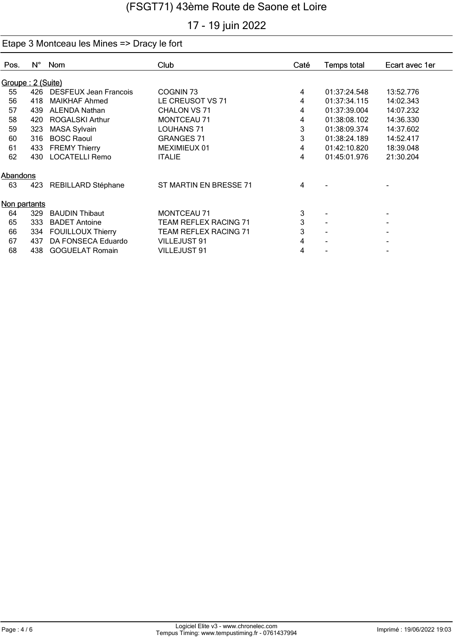# 17 - 19 juin 2022

| $N^{\circ}$ | Nom                      | Club                                                                                                                                   | Caté              | <b>Temps total</b> | Ecart avec 1er |           |
|-------------|--------------------------|----------------------------------------------------------------------------------------------------------------------------------------|-------------------|--------------------|----------------|-----------|
|             |                          |                                                                                                                                        |                   |                    |                |           |
|             |                          | COGNIN <sub>73</sub>                                                                                                                   | 4                 | 01:37:24.548       | 13:52.776      |           |
| 418         | <b>MAIKHAF Ahmed</b>     | LE CREUSOT VS 71                                                                                                                       | 4                 | 01:37:34.115       | 14:02.343      |           |
| 439         | <b>ALENDA Nathan</b>     | CHALON VS 71                                                                                                                           | 4                 | 01:37:39.004       | 14:07.232      |           |
| 420         | <b>ROGALSKI Arthur</b>   | MONTCEAU 71                                                                                                                            | 4                 | 01:38:08.102       | 14:36.330      |           |
|             |                          | LOUHANS 71                                                                                                                             | 3                 | 01:38:09.374       | 14:37.602      |           |
| 316         | <b>BOSC Raoul</b>        |                                                                                                                                        |                   | 01:38:24.189       |                |           |
| 433         |                          | MEXIMIEUX 01                                                                                                                           | 4                 | 01:42:10.820       | 18:39.048      |           |
| 430         |                          | <b>ITALIE</b>                                                                                                                          | 4                 | 01:45:01.976       | 21:30.204      |           |
|             |                          |                                                                                                                                        |                   |                    |                |           |
| 423         | REBILLARD Stéphane       | ST MARTIN EN BRESSE 71                                                                                                                 | 4                 |                    |                |           |
|             |                          |                                                                                                                                        |                   |                    |                |           |
| 329         | <b>BAUDIN Thibaut</b>    | <b>MONTCEAU 71</b>                                                                                                                     | 3                 |                    |                |           |
| 333         | <b>BADET Antoine</b>     | <b>TEAM REFLEX RACING 71</b>                                                                                                           | 3                 |                    |                |           |
| 334         | <b>FOUILLOUX Thierry</b> | <b>TEAM REFLEX RACING 71</b>                                                                                                           | 3                 |                    | ۰              |           |
| 437         | DA FONSECA Eduardo       | VILLEJUST 91                                                                                                                           | 4                 |                    |                |           |
| 438         | <b>GOGUELAT Romain</b>   | VILLEJUST 91                                                                                                                           | 4                 |                    | ۰              |           |
|             | 323<br>Abandons          | Groupe: 2 (Suite)<br>426 DESFEUX Jean Francois<br><b>MASA Sylvain</b><br><b>FREMY Thierry</b><br><b>LOCATELLI Remo</b><br>Non partants | <b>GRANGES 71</b> | 3                  |                | 14:52.417 |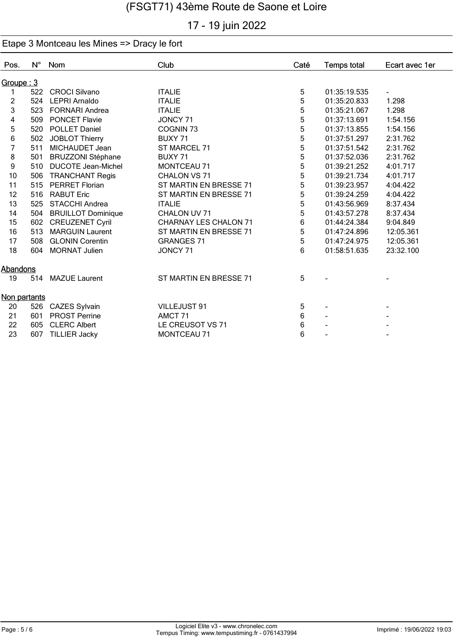# 17 - 19 juin 2022

| Pos.               | $N^{\circ}$ | Nom                       | Club                         | Caté | <b>Temps total</b> | Ecart avec 1er           |
|--------------------|-------------|---------------------------|------------------------------|------|--------------------|--------------------------|
| <u> Groupe : 3</u> |             |                           |                              |      |                    |                          |
|                    | 522         | <b>CROCI Silvano</b>      | <b>ITALIE</b>                | 5    | 01:35:19.535       | $\overline{\phantom{a}}$ |
| $\overline{c}$     | 524         | <b>LEPRI Arnaldo</b>      | <b>ITALIE</b>                | 5    | 01:35:20.833       | 1.298                    |
| 3                  | 523         | <b>FORNARI Andrea</b>     | <b>ITALIE</b>                | 5    | 01:35:21.067       | 1.298                    |
| 4                  | 509         | <b>PONCET Flavie</b>      | JONCY 71                     | 5    | 01:37:13.691       | 1:54.156                 |
| 5                  |             | 520 POLLET Daniel         | COGNIN <sub>73</sub>         | 5    | 01:37:13.855       | 1:54.156                 |
| 6                  | 502         | JOBLOT Thierry            | BUXY <sub>71</sub>           | 5    | 01:37:51.297       | 2:31.762                 |
| $\overline{7}$     | 511         | MICHAUDET Jean            | ST MARCEL 71                 | 5    | 01:37:51.542       | 2:31.762                 |
| 8                  | 501         | <b>BRUZZONI Stéphane</b>  | BUXY 71                      | 5    | 01:37:52.036       | 2:31.762                 |
| 9                  | 510         | <b>DUCOTE Jean-Michel</b> | <b>MONTCEAU 71</b>           | 5    | 01:39:21.252       | 4:01.717                 |
| 10                 | 506         | <b>TRANCHANT Regis</b>    | CHALON VS 71                 | 5    | 01:39:21.734       | 4:01.717                 |
| 11                 | 515         | <b>PERRET Florian</b>     | ST MARTIN EN BRESSE 71       | 5    | 01:39:23.957       | 4:04.422                 |
| 12                 | 516         | <b>RABUT Eric</b>         | ST MARTIN EN BRESSE 71       | 5    | 01:39:24.259       | 4:04.422                 |
| 13                 | 525         | STACCHI Andrea            | <b>ITALIE</b>                | 5    | 01:43:56.969       | 8:37.434                 |
| 14                 | 504         | <b>BRUILLOT Dominique</b> | CHALON UV 71                 | 5    | 01:43:57.278       | 8:37.434                 |
| 15                 | 602         | <b>CREUZENET Cyril</b>    | <b>CHARNAY LES CHALON 71</b> | 6    | 01:44:24.384       | 9:04.849                 |
| 16                 | 513         | <b>MARGUIN Laurent</b>    | ST MARTIN EN BRESSE 71       | 5    | 01:47:24.896       | 12:05.361                |
| 17                 | 508         | <b>GLONIN Corentin</b>    | <b>GRANGES 71</b>            | 5    | 01:47:24.975       | 12:05.361                |
| 18                 | 604         | <b>MORNAT Julien</b>      | JONCY 71                     | 6    | 01:58:51.635       | 23:32.100                |
| Abandons           |             |                           |                              |      |                    |                          |
| 19                 |             | 514 MAZUE Laurent         | ST MARTIN EN BRESSE 71       | 5    |                    |                          |
| Non partants       |             |                           |                              |      |                    |                          |
| 20                 | 526         | CAZES Sylvain             | VILLEJUST 91                 | 5    | $\blacksquare$     | ۰                        |
| 21                 | 601         | <b>PROST Perrine</b>      | AMCT <sub>71</sub>           | 6    |                    |                          |
| 22                 | 605         | <b>CLERC Albert</b>       | LE CREUSOT VS 71             | 6    |                    |                          |
| 23                 | 607         | <b>TILLIER Jacky</b>      | <b>MONTCEAU 71</b>           | 6    |                    |                          |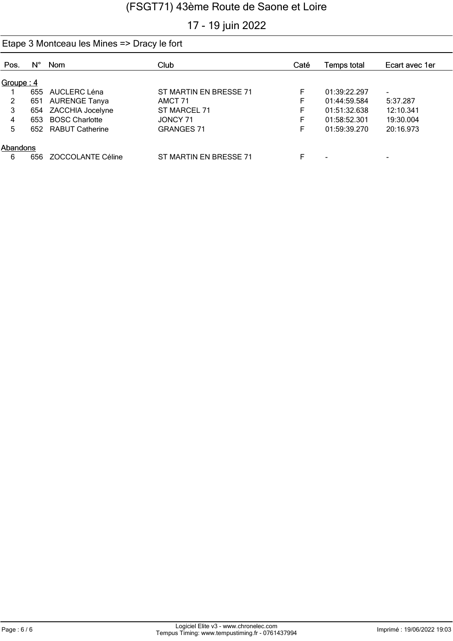## 17 - 19 juin 2022

| Pos.           | Ν°  | Nom                  | Club                   | Caté | Temps total  | Ecart avec 1er |  |  |
|----------------|-----|----------------------|------------------------|------|--------------|----------------|--|--|
|                |     |                      |                        |      |              |                |  |  |
| Groupe: $4$    |     |                      |                        |      |              |                |  |  |
|                |     | 655 AUCLERC Léna     | ST MARTIN EN BRESSE 71 | F    | 01:39:22.297 | ۰.             |  |  |
| $\overline{2}$ | 651 | <b>AURENGE Tanya</b> | AMCT 71                | F    | 01:44:59.584 | 5:37.287       |  |  |
| 3              |     | 654 ZACCHIA Jocelyne | ST MARCEL 71           | F    | 01:51:32.638 | 12:10.341      |  |  |
| 4              |     | 653 BOSC Charlotte   | JONCY 71               | F    | 01:58:52.301 | 19:30.004      |  |  |
| 5.             |     | 652 RABUT Catherine  | <b>GRANGES 71</b>      | F    | 01:59:39.270 | 20:16.973      |  |  |
|                |     |                      |                        |      |              |                |  |  |
| Abandons       |     |                      |                        |      |              |                |  |  |
| 6              | 656 | ZOCCOLANTE Céline    | ST MARTIN EN BRESSE 71 | F    | -            | -              |  |  |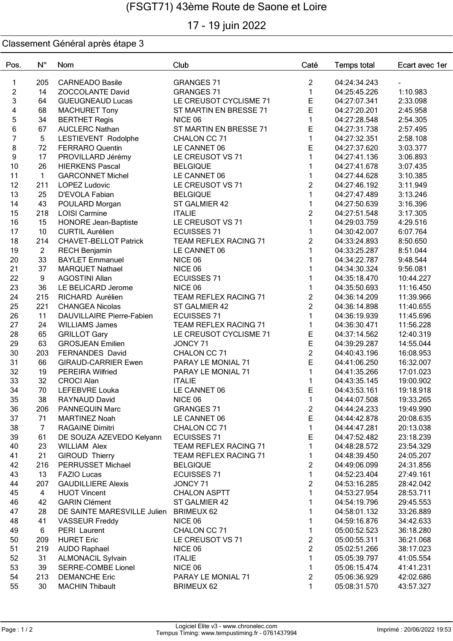# 17 - 19 juin 2022

| Pos.           | $N^{\circ}$    | Nom                                                | Club                         | Caté              | <b>Temps total</b>           | Ecart avec 1er         |
|----------------|----------------|----------------------------------------------------|------------------------------|-------------------|------------------------------|------------------------|
| $\mathbf{1}$   | 205            | <b>CARNEADO Basile</b>                             | <b>GRANGES 71</b>            | $\overline{c}$    | 04:24:34.243                 |                        |
| $\overline{c}$ | 14             | <b>ZOCCOLANTE David</b>                            | <b>GRANGES 71</b>            | $\mathbf{1}$      | 04:25:45.226                 | 1:10.983               |
| 3              | 64             | <b>GUEUGNEAUD Lucas</b>                            | LE CREUSOT CYCLISME 71       | E                 | 04:27:07.341                 | 2:33.098               |
| 4              | 68             | <b>MACHURET Tony</b>                               | ST MARTIN EN BRESSE 71       | E                 | 04:27:20.201                 | 2:45.958               |
| $\overline{5}$ | 34             | <b>BERTHET Regis</b>                               | NICE 06                      | $\mathbf{1}$      | 04:27:28.548                 | 2:54.305               |
| 6              | 67             | <b>AUCLERC Nathan</b>                              | ST MARTIN EN BRESSE 71       | E                 | 04:27:31.738                 | 2:57.495               |
| $\overline{7}$ | 5              | LESTIEVENT Rodolphe                                | CHALON CC 71                 | $\mathbf{1}$      | 04:27:32.351                 | 2:58.108               |
| 8              | 72             | <b>FERRARO Quentin</b>                             | LE CANNET 06                 | E                 | 04:27:37.620                 | 3:03.377               |
| 9              | 17             | PROVILLARD Jérémy                                  | LE CREUSOT VS 71             | $\mathbf{1}$      | 04:27:41.136                 | 3:06.893               |
| 10             | 26             | <b>HIERKENS Pascal</b>                             | <b>BELGIQUE</b>              | $\mathbf{1}$      | 04:27:41.678                 | 3:07.435               |
| 11             | $\mathbf{1}$   | <b>GARCONNET Michel</b>                            | LE CANNET 06                 | $\mathbf{1}$      | 04:27:44.628                 | 3:10.385               |
| 12             | 211            | <b>LOPEZ Ludovic</b>                               | LE CREUSOT VS 71             | $\overline{c}$    | 04:27:46.192                 | 3:11.949               |
| 13             | 25             | D'EVOLA Fabian                                     | <b>BELGIQUE</b>              | $\mathbf{1}$      | 04:27:47.489                 | 3:13.246               |
| 14             | 43             | POULARD Morgan                                     | ST GALMIER 42                | $\mathbf{1}$      | 04:27:50.639                 | 3:16.396               |
| 15             | 218            | <b>LOISI Carmine</b>                               | <b>ITALIE</b>                | $\overline{2}$    | 04:27:51.548                 | 3:17.305               |
| 16             | 15             | <b>HONORE Jean-Baptiste</b>                        | LE CREUSOT VS 71             | $\mathbf{1}$      | 04:29:03.759                 | 4:29.516               |
| 17             | 10             | <b>CURTIL Aurélien</b>                             | <b>ECUISSES 71</b>           | $\mathbf{1}$      | 04:30:42.007                 | 6:07.764               |
| 18             | 214            | <b>CHAVET-BELLOT Patrick</b>                       | <b>TEAM REFLEX RACING 71</b> | $\overline{c}$    | 04:33:24.893                 | 8:50.650               |
| 19             | $\overline{2}$ | <b>RECH Benjamin</b>                               | LE CANNET 06                 | $\mathbf{1}$      | 04:33:25.287                 | 8:51.044               |
| 20             | 33             | <b>BAYLET Emmanuel</b>                             | NICE 06                      | $\mathbf{1}$      | 04:34:22.787                 | 9:48.544               |
| 21             | 37             | <b>MARQUET Nathael</b>                             | NICE 06                      | $\mathbf{1}$      | 04:34:30.324                 | 9:56.081               |
| 22             | 9              | <b>AGOSTINI Allan</b>                              | <b>ECUISSES 71</b>           | $\mathbf{1}$      | 04:35:18.470                 | 10:44.227              |
| 23             | 36             | LE BELICARD Jerome                                 | NICE 06                      | $\mathbf{1}$      | 04:35:50.693                 | 11:16.450              |
| 24             | 215            | RICHARD Aurélien                                   | TEAM REFLEX RACING 71        | $\overline{c}$    | 04:36:14.209                 | 11:39.966              |
| 25             | 221            | <b>CHANGEA Nicolas</b>                             | ST GALMIER 42                | $\overline{2}$    | 04:36:14.898                 | 11:40.655              |
| 26             | 11             | <b>DAUVILLAIRE Pierre-Fabien</b>                   | <b>ECUISSES 71</b>           | $\mathbf{1}$      | 04:36:19.939                 | 11:45.696              |
| 27             | 24             | <b>WILLIAMS James</b>                              | TEAM REFLEX RACING 71        | $\mathbf{1}$      | 04:36:30.471                 | 11:56.228              |
| 28             | 65             | <b>GRILLOT Gary</b>                                | LE CREUSOT CYCLISME 71       | E                 | 04:37:14.562                 | 12:40.319              |
| 29             | 63             | <b>GROSJEAN Emilien</b>                            | JONCY 71                     | E                 | 04:39:29.287                 | 14:55.044              |
| 30             | 203            | FERNANDES David                                    | CHALON CC 71                 | $\overline{2}$    | 04:40:43.196                 | 16:08.953              |
| 31             | 66             | <b>GIRAUD-CARRIER Ewen</b>                         | PARAY LE MONIAL 71           | E                 | 04:41:06.250                 | 16:32.007              |
| 32             | 19             | <b>PEREIRA Wilfried</b>                            | PARAY LE MONIAL 71           | $\mathbf{1}$      | 04:41:35.266                 | 17:01.023              |
| 33             | 32             | <b>CROCI Alan</b>                                  | <b>ITALIE</b>                | $\mathbf{1}$<br>E | 04:43:35.145                 | 19:00.902              |
| 34             | 70             | LEFEBVRE Louka                                     | LE CANNET 06                 |                   | 04:43:53.161                 | 19:18.918              |
| 35             | 38             | RAYNAUD David                                      | NICE 06                      | 1                 | 04:44:07.508                 | 19:33.265              |
| 36             | 206            | PANNEQUIN Marc                                     | <b>GRANGES 71</b>            | 2<br>E            | 04:44:24.233                 | 19:49.990              |
| 37             | 71             | <b>MARTINEZ Noah</b>                               | LE CANNET 06<br>CHALON CC 71 | $\mathbf{1}$      | 04:44:42.878                 | 20:08.635              |
| 38<br>39       | 7<br>61        | <b>RAGAINE Dimitri</b><br>DE SOUZA AZEVEDO Kelyann | <b>ECUISSES 71</b>           | Ε                 | 04:44:47.281<br>04:47:52.482 | 20:13.038<br>23:18.239 |
| 40             | 23             | <b>WILLIAM Alex</b>                                | TEAM REFLEX RACING 71        | 1                 | 04:48:28.572                 | 23:54.329              |
| 41             | 21             | <b>GIROUD Thierry</b>                              | <b>TEAM REFLEX RACING 71</b> | 1                 | 04:48:39.450                 | 24:05.207              |
| 42             | 216            | PERRUSSET Michael                                  | <b>BELGIQUE</b>              | $\overline{c}$    | 04:49:06.099                 | 24:31.856              |
| 43             | 13             | <b>FAZIO Lucas</b>                                 | <b>ECUISSES 71</b>           | $\mathbf{1}$      | 04:52:23.404                 | 27:49.161              |
| 44             | 207            | <b>GAUDILLIERE Alexis</b>                          | JONCY 71                     | $\overline{c}$    | 04:53:16.285                 | 28:42.042              |
| 45             | $\overline{4}$ | <b>HUOT Vincent</b>                                | <b>CHALON ASPTT</b>          | 1                 | 04:53:27.954                 | 28:53.711              |
| 46             | 42             | <b>GARIN Clément</b>                               | ST GALMIER 42                |                   | 04:54:19.796                 | 29:45.553              |
| 47             | 28             | DE SAINTE MARESVILLE Julien                        | <b>BRIMEUX 62</b>            |                   | 04:58:01.132                 | 33:26.889              |
| 48             | 41             | <b>VASSEUR Freddy</b>                              | NICE 06                      | 1                 | 04:59:16.876                 | 34:42.633              |
| 49             | 6              | PERI Laurent                                       | CHALON CC 71                 | 1                 | 05:00:52.523                 | 36:18.280              |
| 50             | 209            | <b>HURET Eric</b>                                  | LE CREUSOT VS 71             | $\overline{2}$    | 05:00:55.311                 | 36:21.068              |
| 51             | 219            | <b>AUDO Raphael</b>                                | NICE 06                      | $\overline{c}$    | 05:02:51.266                 | 38:17.023              |
| 52             | 31             | <b>ALMONACIL Sylvain</b>                           | <b>ITALIE</b>                | $\mathbf{1}$      | 05:05:39.797                 | 41:05.554              |
| 53             | 39             | <b>SERRE-COMBE Lionel</b>                          | NICE 06                      | 1                 | 05:06:15.474                 | 41:41.231              |
| 54             | 213            | <b>DEMANCHE Eric</b>                               | PARAY LE MONIAL 71           | $\overline{c}$    | 05:06:36.929                 | 42:02.686              |
| 55             | 30             | <b>MACHIN Thibault</b>                             | <b>BRIMEUX 62</b>            | 1                 | 05:08:31.570                 | 43:57.327              |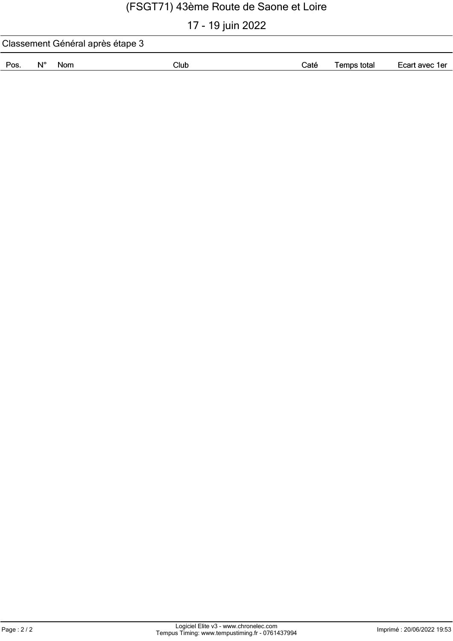# 17 - 19 juin 2022

| Classement Général après étape 3 |            |      |      |             |                |  |  |
|----------------------------------|------------|------|------|-------------|----------------|--|--|
| Pos.<br>Ν°                       | <b>Nom</b> | Club | Caté | Temps total | Ecart avec 1er |  |  |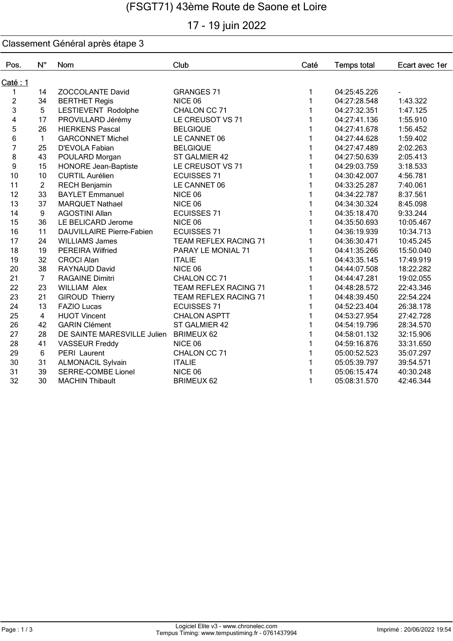# 17 - 19 juin 2022

| Pos.           | $N^{\circ}$    | Nom                         | Club                         | Caté | <b>Temps total</b> | Ecart avec 1er |
|----------------|----------------|-----------------------------|------------------------------|------|--------------------|----------------|
| Caté : 1       |                |                             |                              |      |                    |                |
| 1              | 14             | <b>ZOCCOLANTE David</b>     | <b>GRANGES 71</b>            | 1    | 04:25:45.226       |                |
| $\overline{c}$ | 34             | <b>BERTHET Regis</b>        | NICE 06                      |      | 04:27:28.548       | 1:43.322       |
| 3              | 5              | LESTIEVENT Rodolphe         | CHALON CC 71                 |      | 04:27:32.351       | 1:47.125       |
| 4              | 17             | PROVILLARD Jérémy           | LE CREUSOT VS 71             |      | 04:27:41.136       | 1:55.910       |
| 5              | 26             | <b>HIERKENS Pascal</b>      | <b>BELGIQUE</b>              |      | 04:27:41.678       | 1:56.452       |
| 6              | $\mathbf{1}$   | <b>GARCONNET Michel</b>     | LE CANNET 06                 |      | 04:27:44.628       | 1:59.402       |
| 7              | 25             | D'EVOLA Fabian              | <b>BELGIQUE</b>              |      | 04:27:47.489       | 2:02.263       |
| 8              | 43             | POULARD Morgan              | ST GALMIER 42                |      | 04:27:50.639       | 2:05.413       |
| 9              | 15             | <b>HONORE Jean-Baptiste</b> | LE CREUSOT VS 71             |      | 04:29:03.759       | 3:18.533       |
| 10             | 10             | <b>CURTIL Aurélien</b>      | <b>ECUISSES 71</b>           |      | 04:30:42.007       | 4:56.781       |
| 11             | $\overline{2}$ | <b>RECH Benjamin</b>        | LE CANNET 06                 |      | 04:33:25.287       | 7:40.061       |
| 12             | 33             | <b>BAYLET Emmanuel</b>      | NICE 06                      |      | 04:34:22.787       | 8:37.561       |
| 13             | 37             | <b>MARQUET Nathael</b>      | NICE 06                      |      | 04:34:30.324       | 8:45.098       |
| 14             | 9              | <b>AGOSTINI Allan</b>       | <b>ECUISSES 71</b>           |      | 04:35:18.470       | 9:33.244       |
| 15             | 36             | LE BELICARD Jerome          | NICE 06                      |      | 04:35:50.693       | 10:05.467      |
| 16             | 11             | DAUVILLAIRE Pierre-Fabien   | <b>ECUISSES 71</b>           |      | 04:36:19.939       | 10:34.713      |
| 17             | 24             | <b>WILLIAMS James</b>       | <b>TEAM REFLEX RACING 71</b> |      | 04:36:30.471       | 10:45.245      |
| 18             | 19             | <b>PEREIRA Wilfried</b>     | PARAY LE MONIAL 71           |      | 04:41:35.266       | 15:50.040      |
| 19             | 32             | <b>CROCI Alan</b>           | <b>ITALIE</b>                |      | 04:43:35.145       | 17:49.919      |
| 20             | 38             | RAYNAUD David               | NICE 06                      |      | 04:44:07.508       | 18:22.282      |
| 21             | $\overline{7}$ | <b>RAGAINE Dimitri</b>      | CHALON CC 71                 |      | 04:44:47.281       | 19:02.055      |
| 22             | 23             | <b>WILLIAM Alex</b>         | <b>TEAM REFLEX RACING 71</b> |      | 04:48:28.572       | 22:43.346      |
| 23             | 21             | <b>GIROUD Thierry</b>       | TEAM REFLEX RACING 71        |      | 04:48:39.450       | 22:54.224      |
| 24             | 13             | <b>FAZIO Lucas</b>          | <b>ECUISSES 71</b>           |      | 04:52:23.404       | 26:38.178      |
| 25             | $\overline{4}$ | <b>HUOT Vincent</b>         | <b>CHALON ASPTT</b>          |      | 04:53:27.954       | 27:42.728      |
| 26             | 42             | <b>GARIN Clément</b>        | ST GALMIER 42                |      | 04:54:19.796       | 28:34.570      |
| 27             | 28             | DE SAINTE MARESVILLE Julien | <b>BRIMEUX 62</b>            |      | 04:58:01.132       | 32:15.906      |
| 28             | 41             | <b>VASSEUR Freddy</b>       | NICE 06                      |      | 04:59:16.876       | 33:31.650      |
| 29             | 6              | PERI Laurent                | CHALON CC 71                 |      | 05:00:52.523       | 35:07.297      |
| 30             | 31             | <b>ALMONACIL Sylvain</b>    | <b>ITALIE</b>                |      | 05:05:39.797       | 39:54.571      |
| 31             | 39             | <b>SERRE-COMBE Lionel</b>   | NICE 06                      |      | 05:06:15.474       | 40:30.248      |
| 32             | 30             | <b>MACHIN Thibault</b>      | <b>BRIMEUX 62</b>            | 1    | 05:08:31.570       | 42:46.344      |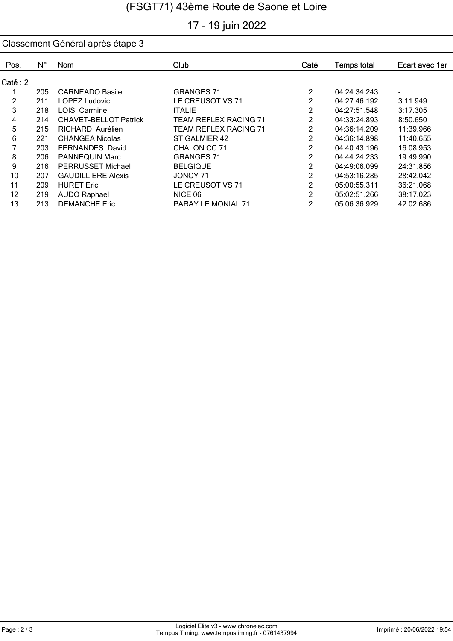# 17 - 19 juin 2022

| Pos.           | $N^{\circ}$ | <b>Nom</b>                   | Club                         | Caté           | <b>Temps total</b> | Ecart avec 1er |
|----------------|-------------|------------------------------|------------------------------|----------------|--------------------|----------------|
|                |             |                              |                              |                |                    |                |
| Caté: 2        |             |                              |                              |                |                    |                |
|                | 205         | <b>CARNEADO Basile</b>       | <b>GRANGES 71</b>            | 2              | 04:24:34.243       |                |
| $\overline{c}$ | 211         | <b>LOPEZ Ludovic</b>         | LE CREUSOT VS 71             | 2              | 04:27:46.192       | 3:11.949       |
| 3              | 218         | <b>LOISI Carmine</b>         | <b>ITALIE</b>                | 2              | 04:27:51.548       | 3:17.305       |
| 4              | 214         | <b>CHAVET-BELLOT Patrick</b> | <b>TEAM REFLEX RACING 71</b> | 2              | 04:33:24.893       | 8:50.650       |
| 5              | 215         | RICHARD Aurélien             | <b>TEAM REFLEX RACING 71</b> | 2              | 04:36:14.209       | 11:39.966      |
| 6              | 221         | CHANGEA Nicolas              | ST GALMIER 42                | $\overline{c}$ | 04:36:14.898       | 11:40.655      |
|                | 203         | <b>FERNANDES David</b>       | CHALON CC 71                 | 2              | 04:40:43.196       | 16:08.953      |
| 8              | 206         | <b>PANNEQUIN Marc</b>        | <b>GRANGES 71</b>            | 2              | 04:44:24.233       | 19:49.990      |
| 9              | 216         | PERRUSSET Michael            | <b>BELGIQUE</b>              | 2              | 04:49:06.099       | 24:31.856      |
| 10             | 207         | <b>GAUDILLIERE Alexis</b>    | JONCY 71                     | 2              | 04:53:16.285       | 28:42.042      |
| 11             | 209         | <b>HURET Eric</b>            | LE CREUSOT VS 71             | 2              | 05:00:55.311       | 36:21.068      |
| 12             | 219         | <b>AUDO Raphael</b>          | NICE 06                      | $\mathcal{P}$  | 05:02:51.266       | 38:17.023      |
| 13             | 213         | <b>DEMANCHE Eric</b>         | PARAY LE MONIAL 71           | 2              | 05:06:36.929       | 42:02.686      |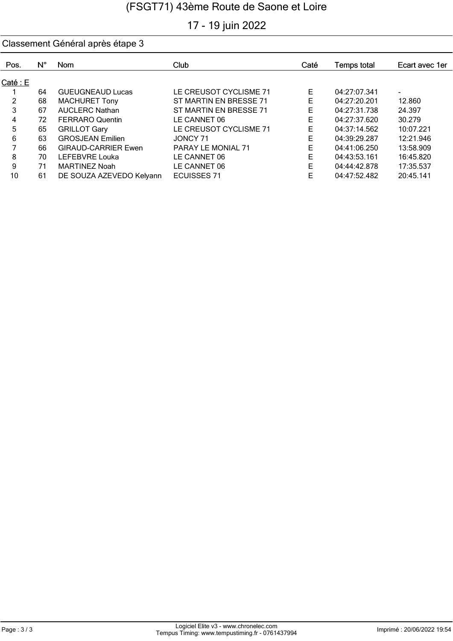# 17 - 19 juin 2022

| Pos.     | $N^{\circ}$ | <b>Nom</b>                 | Club                   | Caté | Temps total  | Ecart avec 1er |
|----------|-------------|----------------------------|------------------------|------|--------------|----------------|
| Caté : E |             |                            |                        |      |              |                |
|          | 64          | <b>GUEUGNEAUD Lucas</b>    | LE CREUSOT CYCLISME 71 | E    | 04:27:07.341 | ٠              |
| 2        | 68          | <b>MACHURET Tony</b>       | ST MARTIN EN BRESSE 71 | E    | 04:27:20.201 | 12.860         |
| 3        | 67          | <b>AUCLERC Nathan</b>      | ST MARTIN EN BRESSE 71 | Е    | 04:27:31.738 | 24.397         |
| 4        | 72          | <b>FERRARO Quentin</b>     | LE CANNET 06           | E    | 04:27:37.620 | 30.279         |
| 5        | 65          | <b>GRILLOT Gary</b>        | LE CREUSOT CYCLISME 71 | E    | 04:37:14.562 | 10:07.221      |
| 6        | 63          | <b>GROSJEAN Emilien</b>    | JONCY 71               | E    | 04:39:29.287 | 12:21.946      |
|          | 66          | <b>GIRAUD-CARRIER Ewen</b> | PARAY LE MONIAL 71     | Е    | 04:41:06.250 | 13:58.909      |
| 8        | 70          | LEFEBVRE Louka             | LE CANNET 06           | E    | 04:43:53.161 | 16:45.820      |
| 9        | 71          | <b>MARTINEZ Noah</b>       | LE CANNET 06           | F    | 04:44:42.878 | 17:35.537      |
| 10       | 61          | DE SOUZA AZEVEDO Kelyann   | <b>ECUISSES 71</b>     | E    | 04:47:52.482 | 20:45.141      |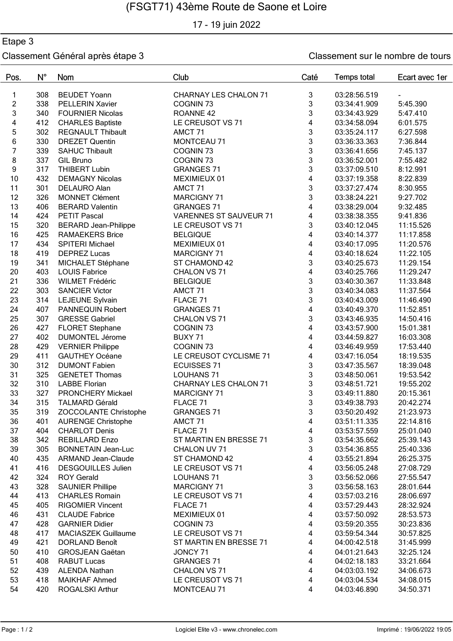17 - 19 juin 2022

### Etape 3

| Pos.           | $N^{\circ}$ | Nom                                          | Club                          | Caté           | <b>Temps total</b> | Ecart avec 1er |
|----------------|-------------|----------------------------------------------|-------------------------------|----------------|--------------------|----------------|
| 1              | 308         | <b>BEUDET Yoann</b>                          | <b>CHARNAY LES CHALON 71</b>  | 3              | 03:28:56.519       |                |
| $\overline{c}$ | 338         | <b>PELLERIN Xavier</b>                       | COGNIN <sub>73</sub>          | 3              | 03:34:41.909       | 5:45.390       |
| 3              | 340         | <b>FOURNIER Nicolas</b>                      | ROANNE <sub>42</sub>          | 3              | 03:34:43.929       | 5:47.410       |
| 4              | 412         | <b>CHARLES Baptiste</b>                      | LE CREUSOT VS 71              | 4              | 03:34:58.094       | 6:01.575       |
| 5              | 302         | <b>REGNAULT Thibault</b>                     | AMCT <sub>71</sub>            | 3              | 03:35:24.117       | 6:27.598       |
| 6              | 330         | <b>DREZET Quentin</b>                        | MONTCEAU 71                   | 3              | 03:36:33.363       | 7:36.844       |
| $\overline{7}$ | 339         | <b>SAHUC Thibault</b>                        | COGNIN <sub>73</sub>          | 3              | 03:36:41.656       | 7:45.137       |
| 8              | 337         | <b>GIL Bruno</b>                             | COGNIN <sub>73</sub>          | 3              | 03:36:52.001       | 7:55.482       |
| 9              | 317         | <b>THIBERT Lubin</b>                         | <b>GRANGES 71</b>             | 3              | 03:37:09.510       | 8:12.991       |
| 10             | 432         | <b>DEMAGNY Nicolas</b>                       | MEXIMIEUX 01                  | 4              | 03:37:19.358       | 8:22.839       |
| 11             | 301         | DELAURO Alan                                 | AMCT <sub>71</sub>            | 3              | 03:37:27.474       | 8:30.955       |
| 12             | 326         | <b>MONNET Clément</b>                        | <b>MARCIGNY 71</b>            | $\overline{3}$ | 03:38:24.221       | 9:27.702       |
| 13             | 406         | <b>BERARD Valentin</b>                       | <b>GRANGES 71</b>             | 4              | 03:38:29.004       | 9:32.485       |
| 14             | 424         | <b>PETIT Pascal</b>                          | VARENNES ST SAUVEUR 71        | 4              | 03:38:38.355       | 9:41.836       |
| 15             | 320         | <b>BERARD Jean-Philippe</b>                  | LE CREUSOT VS 71              | 3              | 03:40:12.045       | 11:15.526      |
| 16             | 425         | <b>RAMAEKERS Brice</b>                       | <b>BELGIQUE</b>               | 4              | 03:40:14.377       | 11:17.858      |
| 17             | 434         | SPITERI Michael                              | MEXIMIEUX 01                  | 4              | 03:40:17.095       | 11:20.576      |
| 18             | 419         | <b>DEPREZ Lucas</b>                          | <b>MARCIGNY 71</b>            | 4              | 03:40:18.624       | 11:22.105      |
| 19             | 341         | MICHALET Stéphane                            | ST CHAMOND 42                 | 3              | 03:40:25.673       | 11:29.154      |
| $20\,$         | 403         | <b>LOUIS Fabrice</b>                         | CHALON VS 71                  | 4              | 03:40:25.766       | 11:29.247      |
| 21             | 336         | <b>WILMET Frédéric</b>                       | <b>BELGIQUE</b>               | 3              | 03:40:30.367       | 11:33.848      |
| 22             | 303         | <b>SANCIER Victor</b>                        | AMCT 71                       | 3              | 03:40:34.083       | 11:37.564      |
| 23             | 314         | LEJEUNE Sylvain                              | FLACE 71                      | 3              | 03:40:43.009       | 11:46.490      |
| 24             | 407         | PANNEQUIN Robert                             | <b>GRANGES 71</b>             | 4              | 03:40:49.370       | 11:52.851      |
| 25             | 307         | <b>GRESSE Gabriel</b>                        | CHALON VS 71                  | 3              | 03:43:46.935       | 14:50.416      |
| 26             | 427         | <b>FLORET Stephane</b>                       | COGNIN <sub>73</sub>          | 4              | 03:43:57.900       | 15:01.381      |
| 27             | 402         | <b>DUMONTEL Jérome</b>                       | BUXY 71                       | 4              | 03:44:59.827       | 16:03.308      |
| 28             | 429         | <b>VERNIER Philippe</b>                      | COGNIN <sub>73</sub>          | 4              | 03:46:49.959       | 17:53.440      |
| 29             | 411         | <b>GAUTHEY Océane</b>                        | LE CREUSOT CYCLISME 71        | 4              | 03:47:16.054       | 18:19.535      |
| 30             | 312         | <b>DUMONT Fabien</b>                         | <b>ECUISSES 71</b>            | 3              | 03:47:35.567       | 18:39.048      |
| 31             | 325         | <b>GENETET Thomas</b>                        | <b>LOUHANS 71</b>             | 3              | 03:48:50.061       | 19:53.542      |
| 32             | 310         | <b>LABBE Florian</b>                         | <b>CHARNAY LES CHALON 71</b>  | 3              | 03:48:51.721       | 19:55.202      |
| 33             | 327         | PRONCHERY Mickael                            | <b>MARCIGNY 71</b>            | 3              | 03:49:11.880       | 20:15.361      |
| 34             | 315         | <b>TALMARD Gérald</b>                        | FLACE 71                      | 3              | 03:49:38.793       | 20:42.274      |
| 35             | 319         | ZOCCOLANTE Christophe                        | <b>GRANGES 71</b>             | 3              | 03:50:20.492       | 21:23.973      |
| 36             | 401         | <b>AURENGE Christophe</b>                    | AMCT 71                       |                | 03:51:11.335       | 22:14.816      |
| 37             | 404         | <b>CHARLOT Denis</b>                         | FLACE 71                      | 4<br>4         | 03:53:57.559       | 25:01.040      |
| 38             | 342         | <b>REBILLARD Enzo</b>                        | ST MARTIN EN BRESSE 71        | 3              | 03:54:35.662       | 25:39.143      |
| 39             | 305         | <b>BONNETAIN Jean-Luc</b>                    | CHALON UV 71                  | 3              | 03:54:36.855       | 25:40.336      |
| 40             | 435         | <b>ARMAND Jean-Claude</b>                    | ST CHAMOND 42                 | 4              | 03:55:21.894       | 26:25.375      |
| 41             | 416         | <b>DESGOUILLES Julien</b>                    | LE CREUSOT VS 71              | 4              | 03:56:05.248       | 27:08.729      |
| 42             | 324         | <b>ROY Gerald</b>                            | <b>LOUHANS 71</b>             | 3              | 03:56:52.066       | 27:55.547      |
| 43             | 328         | <b>SAUNIER Phillipe</b>                      | <b>MARCIGNY 71</b>            | 3              | 03:56:58.163       | 28:01.644      |
| 44             | 413         | <b>CHARLES Romain</b>                        | LE CREUSOT VS 71              | 4              | 03:57:03.216       | 28:06.697      |
| 45             | 405         | <b>RIGOMIER Vincent</b>                      | FLACE 71                      | 4              | 03:57:29.443       | 28:32.924      |
| 46             |             | <b>CLAUDE Fabrice</b>                        | MEXIMIEUX 01                  | 4              | 03:57:50.092       | 28:53.573      |
| 47             | 431<br>428  | <b>GARNIER Didier</b>                        | COGNIN <sub>73</sub>          | 4              | 03:59:20.355       | 30:23.836      |
| 48             | 417         | <b>MACIASZEK Guillaume</b>                   | LE CREUSOT VS 71              | 4              | 03:59:54.344       | 30:57.825      |
|                |             |                                              |                               |                |                    |                |
| 49<br>50       | 421<br>410  | <b>DORLAND Benoît</b>                        | ST MARTIN EN BRESSE 71        | 4              | 04:00:42.518       | 31:45.999      |
| 51             | 408         | <b>GROSJEAN Gaëtan</b><br><b>RABUT Lucas</b> | JONCY 71<br><b>GRANGES 71</b> | 4<br>4         | 04:01:21.643       | 32:25.124      |
|                |             |                                              |                               |                | 04:02:18.183       | 33:21.664      |
| 52             | 439         | <b>ALENDA Nathan</b>                         | CHALON VS 71                  | 4              | 04:03:03.192       | 34:06.673      |
| 53<br>54       | 418         | <b>MAIKHAF Ahmed</b>                         | LE CREUSOT VS 71              | 4              | 04:03:04.534       | 34:08.015      |
|                | 420         | ROGALSKI Arthur                              | MONTCEAU 71                   | 4              | 04:03:46.890       | 34:50.371      |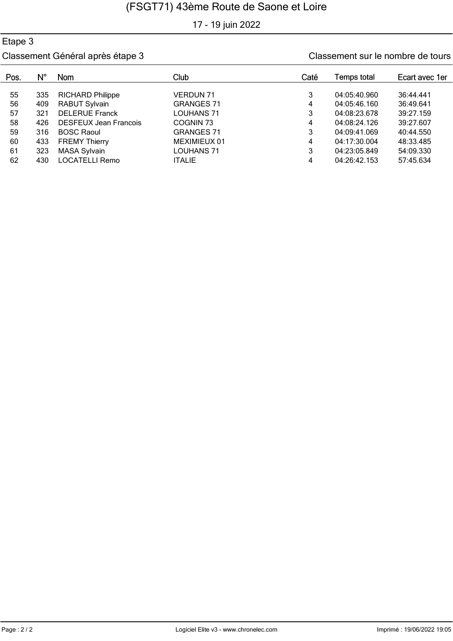17 - 19 juin 2022

### Etape 3

| Pos. | N°  | Nom                          | Club              | Caté | Temps total  | Ecart avec 1er |
|------|-----|------------------------------|-------------------|------|--------------|----------------|
|      |     |                              |                   |      |              |                |
| 55   | 335 | <b>RICHARD Philippe</b>      | VERDUN 71         | 3    | 04:05:40.960 | 36:44.441      |
| 56   | 409 | <b>RABUT Sylvain</b>         | <b>GRANGES 71</b> | 4    | 04:05:46.160 | 36:49.641      |
| 57   | 321 | <b>DELERUE Franck</b>        | LOUHANS 71        | 3    | 04:08:23.678 | 39:27.159      |
| 58   | 426 | <b>DESFEUX Jean Francois</b> | COGNIN 73         |      | 04:08:24.126 | 39:27.607      |
| 59   | 316 | <b>BOSC Raoul</b>            | <b>GRANGES 71</b> | 3    | 04:09:41.069 | 40:44.550      |
| 60   | 433 | <b>FREMY Thierry</b>         | MEXIMIEUX 01      | 4    | 04:17:30.004 | 48:33.485      |
| 61   | 323 | <b>MASA Sylvain</b>          | LOUHANS 71        | 3    | 04:23:05.849 | 54:09.330      |
| 62   | 430 | <b>LOCATELLI Remo</b>        | <b>ITALIE</b>     |      | 04:26:42.153 | 57:45.634      |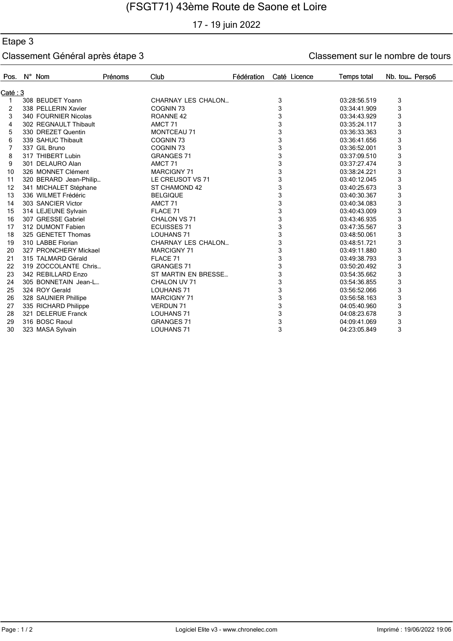17 - 19 juin 2022

### Etape 3

| Pos.     | N° Nom                 | Prénoms | Club                      | Fédération | Caté Licence | <b>Temps total</b> | Nb. tou Perso6 |
|----------|------------------------|---------|---------------------------|------------|--------------|--------------------|----------------|
| Caté : 3 |                        |         |                           |            |              |                    |                |
| 1        | 308 BEUDET Yoann       |         | <b>CHARNAY LES CHALON</b> |            | 3            | 03:28:56.519       | 3              |
| 2        | 338 PELLERIN Xavier    |         | COGNIN <sub>73</sub>      |            | 3            | 03:34:41.909       | 3              |
| 3        | 340 FOURNIER Nicolas   |         | ROANNE <sub>42</sub>      |            | 3            | 03:34:43.929       | 3              |
| 4        | 302 REGNAULT Thibault  |         | AMCT <sub>71</sub>        |            | 3            | 03:35:24.117       | 3              |
| 5        | 330 DREZET Quentin     |         | <b>MONTCEAU 71</b>        |            | 3            | 03:36:33.363       | 3              |
| 6        | 339 SAHUC Thibault     |         | <b>COGNIN 73</b>          |            | 3            | 03:36:41.656       | 3              |
| 7        | 337 GIL Bruno          |         | COGNIN <sub>73</sub>      |            | 3            | 03:36:52.001       | 3              |
| 8        | 317 THIBERT Lubin      |         | <b>GRANGES 71</b>         |            | 3            | 03:37:09.510       | 3              |
| 9        | 301 DELAURO Alan       |         | AMCT <sub>71</sub>        |            | 3            | 03:37:27.474       | 3              |
| 10       | 326 MONNET Clément     |         | <b>MARCIGNY 71</b>        |            | 3            | 03:38:24.221       | 3              |
| 11       | 320 BERARD Jean-Philip |         | LE CREUSOT VS 71          |            | 3            | 03:40:12.045       | 3              |
| 12       | 341 MICHALET Stéphane  |         | ST CHAMOND 42             |            | 3            | 03:40:25.673       | 3              |
| 13       | 336 WILMET Frédéric    |         | <b>BELGIQUE</b>           |            | 3            | 03:40:30.367       | 3              |
| 14       | 303 SANCIER Victor     |         | AMCT <sub>71</sub>        |            | 3            | 03:40:34.083       | 3              |
| 15       | 314 LEJEUNE Sylvain    |         | FLACE 71                  |            | 3            | 03:40:43.009       | 3              |
| 16       | 307 GRESSE Gabriel     |         | CHALON VS 71              |            | 3            | 03:43:46.935       | 3              |
| 17       | 312 DUMONT Fabien      |         | <b>ECUISSES 71</b>        |            | 3            | 03:47:35.567       | 3              |
| 18       | 325 GENETET Thomas     |         | <b>LOUHANS 71</b>         |            | 3            | 03:48:50.061       | 3              |
| 19       | 310 LABBE Florian      |         | <b>CHARNAY LES CHALON</b> |            | 3            | 03:48:51.721       | 3              |
| 20       | 327 PRONCHERY Mickael  |         | <b>MARCIGNY 71</b>        |            | 3            | 03:49:11.880       | 3              |
| 21       | 315 TALMARD Gérald     |         | FLACE 71                  |            | 3            | 03:49:38.793       | 3              |
| 22       | 319 ZOCCOLANTE Chris   |         | <b>GRANGES 71</b>         |            | 3            | 03:50:20.492       | 3              |
| 23       | 342 REBILLARD Enzo     |         | ST MARTIN EN BRESSE       |            | 3            | 03:54:35.662       | 3              |
| 24       | 305 BONNETAIN Jean-L   |         | CHALON UV 71              |            | 3            | 03:54:36.855       | 3              |
| 25       | 324 ROY Gerald         |         | <b>LOUHANS 71</b>         |            | 3            | 03:56:52.066       | 3              |
| 26       | 328 SAUNIER Phillipe   |         | <b>MARCIGNY 71</b>        |            | 3            | 03:56:58.163       | 3              |
| 27       | 335 RICHARD Philippe   |         | <b>VERDUN 71</b>          |            | 3            | 04:05:40.960       | 3              |
| 28       | 321 DELERUE Franck     |         | <b>LOUHANS 71</b>         |            | 3            | 04:08:23.678       | 3              |
| 29       | 316 BOSC Raoul         |         | <b>GRANGES 71</b>         |            | 3            | 04:09:41.069       | 3              |
| 30       | 323 MASA Sylvain       |         | <b>LOUHANS 71</b>         |            | 3            | 04:23:05.849       | 3              |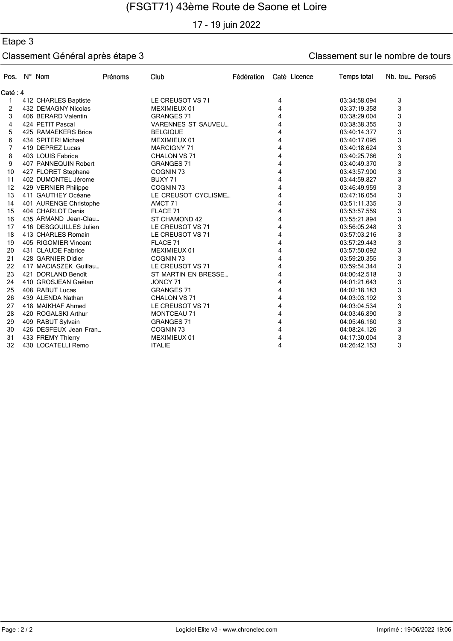17 - 19 juin 2022

### Etape 3

| Pos.     | $N^{\circ}$ Nom        | Prénoms | Club                      | Fédération |   | Caté Licence | <b>Temps total</b> | Nb. tou Perso6 |  |
|----------|------------------------|---------|---------------------------|------------|---|--------------|--------------------|----------------|--|
| Caté : 4 |                        |         |                           |            |   |              |                    |                |  |
| 1        | 412 CHARLES Baptiste   |         | LE CREUSOT VS 71          |            | 4 |              | 03:34:58.094       | 3              |  |
| 2        | 432 DEMAGNY Nicolas    |         | MEXIMIEUX 01              |            | 4 |              | 03:37:19.358       | 3              |  |
| 3        | 406 BERARD Valentin    |         | <b>GRANGES 71</b>         |            | 4 |              | 03:38:29.004       | 3              |  |
| 4        | 424 PETIT Pascal       |         | <b>VARENNES ST SAUVEU</b> |            | 4 |              | 03:38:38.355       | 3              |  |
| 5        | 425 RAMAEKERS Brice    |         | <b>BELGIQUE</b>           |            | 4 |              | 03:40:14.377       | 3              |  |
| 6        | 434 SPITERI Michael    |         | MEXIMIEUX 01              |            | 4 |              | 03:40:17.095       | 3              |  |
| 7        | 419 DEPREZ Lucas       |         | <b>MARCIGNY 71</b>        |            | 4 |              | 03:40:18.624       | 3              |  |
| 8        | 403 LOUIS Fabrice      |         | CHALON VS 71              |            | 4 |              | 03:40:25.766       | 3              |  |
| 9        | 407 PANNEQUIN Robert   |         | <b>GRANGES 71</b>         |            | 4 |              | 03:40:49.370       | 3              |  |
| 10       | 427 FLORET Stephane    |         | COGNIN <sub>73</sub>      |            | 4 |              | 03:43:57.900       | 3              |  |
| 11       | 402 DUMONTEL Jérome    |         | BUXY 71                   |            | 4 |              | 03:44:59.827       | 3              |  |
| 12       | 429 VERNIER Philippe   |         | COGNIN <sub>73</sub>      |            | 4 |              | 03:46:49.959       | 3              |  |
| 13       | 411 GAUTHEY Océane     |         | LE CREUSOT CYCLISME       |            | 4 |              | 03:47:16.054       | 3              |  |
| 14       | 401 AURENGE Christophe |         | AMCT <sub>71</sub>        |            | 4 |              | 03:51:11.335       | 3              |  |
| 15       | 404 CHARLOT Denis      |         | FLACE 71                  |            | 4 |              | 03:53:57.559       | 3              |  |
| 16       | 435 ARMAND Jean-Clau   |         | ST CHAMOND 42             |            | 4 |              | 03:55:21.894       | 3              |  |
| 17       | 416 DESGOUILLES Julien |         | LE CREUSOT VS 71          |            | 4 |              | 03:56:05.248       | 3              |  |
| 18       | 413 CHARLES Romain     |         | LE CREUSOT VS 71          |            | 4 |              | 03:57:03.216       | 3              |  |
| 19       | 405 RIGOMIER Vincent   |         | FLACE 71                  |            | 4 |              | 03:57:29.443       | 3              |  |
| 20       | 431 CLAUDE Fabrice     |         | MEXIMIEUX 01              |            | 4 |              | 03:57:50.092       | 3              |  |
| 21       | 428 GARNIER Didier     |         | COGNIN <sub>73</sub>      |            | 4 |              | 03:59:20.355       | 3              |  |
| 22       | 417 MACIASZEK Guillau  |         | LE CREUSOT VS 71          |            | 4 |              | 03:59:54.344       | 3              |  |
| 23       | 421 DORLAND Benoît     |         | ST MARTIN EN BRESSE       |            | 4 |              | 04:00:42.518       | 3              |  |
| 24       | 410 GROSJEAN Gaëtan    |         | JONCY 71                  |            | 4 |              | 04:01:21.643       | 3              |  |
| 25       | 408 RABUT Lucas        |         | <b>GRANGES 71</b>         |            | 4 |              | 04:02:18.183       | 3              |  |
| 26       | 439 ALENDA Nathan      |         | CHALON VS 71              |            | 4 |              | 04:03:03.192       | 3              |  |
| 27       | 418 MAIKHAF Ahmed      |         | LE CREUSOT VS 71          |            | 4 |              | 04:03:04.534       | 3              |  |
| 28       | 420 ROGALSKI Arthur    |         | <b>MONTCEAU 71</b>        |            | 4 |              | 04:03:46.890       | 3              |  |
| 29       | 409 RABUT Sylvain      |         | <b>GRANGES 71</b>         |            | 4 |              | 04:05:46.160       | 3              |  |
| 30       | 426 DESFEUX Jean Fran  |         | COGNIN <sub>73</sub>      |            | 4 |              | 04:08:24.126       | 3              |  |
| 31       | 433 FREMY Thierry      |         | MEXIMIEUX 01              |            | 4 |              | 04:17:30.004       | 3              |  |
| 32       | 430 LOCATELLI Remo     |         | <b>ITALIE</b>             |            | 4 |              | 04:26:42.153       | 3              |  |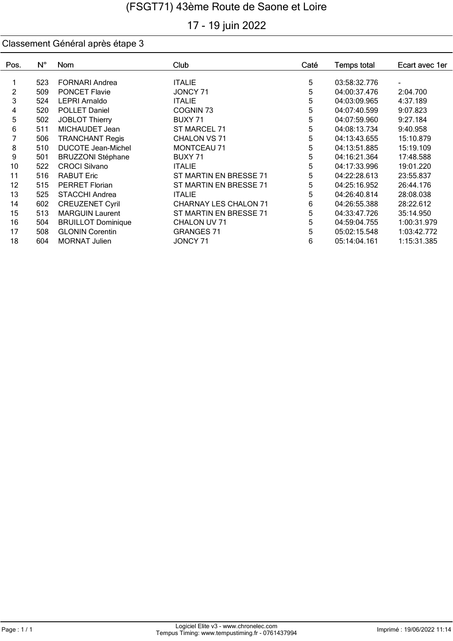# 17 - 19 juin 2022

| Pos.           | $N^{\circ}$ | <b>Nom</b>                | Club                         | Caté | <b>Temps total</b> | Ecart avec 1er |
|----------------|-------------|---------------------------|------------------------------|------|--------------------|----------------|
|                |             |                           |                              |      |                    |                |
|                | 523         | <b>FORNARI Andrea</b>     | <b>ITALIE</b>                | 5    | 03:58:32.776       |                |
| $\overline{2}$ | 509         | <b>PONCET Flavie</b>      | JONCY 71                     | 5    | 04:00:37.476       | 2:04.700       |
| 3              | 524         | <b>LEPRI Arnaldo</b>      | <b>ITALIE</b>                | 5    | 04:03:09.965       | 4:37.189       |
| 4              | 520         | POLLET Daniel             | COGNIN <sub>73</sub>         | 5    | 04:07:40.599       | 9:07.823       |
| 5              | 502         | <b>JOBLOT Thierry</b>     | BUXY 71                      | 5    | 04:07:59.960       | 9:27.184       |
| 6              | 511         | MICHAUDET Jean            | ST MARCEL 71                 | 5    | 04:08:13.734       | 9:40.958       |
| 7              | 506         | <b>TRANCHANT Regis</b>    | CHALON VS 71                 | 5    | 04:13:43.655       | 15:10.879      |
| 8              | 510         | <b>DUCOTE Jean-Michel</b> | <b>MONTCEAU 71</b>           | 5    | 04:13:51.885       | 15:19.109      |
| 9              | 501         | <b>BRUZZONI Stéphane</b>  | BUXY 71                      | 5    | 04:16:21.364       | 17:48.588      |
| 10             | 522         | <b>CROCI Silvano</b>      | <b>ITALIE</b>                | 5    | 04:17:33.996       | 19:01.220      |
| 11             | 516         | <b>RABUT Eric</b>         | ST MARTIN EN BRESSE 71       | 5    | 04:22:28.613       | 23:55.837      |
| 12             | 515         | <b>PERRET Florian</b>     | ST MARTIN EN BRESSE 71       | 5    | 04:25:16.952       | 26:44.176      |
| 13             | 525         | <b>STACCHI Andrea</b>     | <b>ITALIE</b>                | 5    | 04:26:40.814       | 28:08.038      |
| 14             | 602         | <b>CREUZENET Cyril</b>    | <b>CHARNAY LES CHALON 71</b> | 6    | 04:26:55.388       | 28:22.612      |
| 15             | 513         | <b>MARGUIN Laurent</b>    | ST MARTIN EN BRESSE 71       | 5    | 04:33:47.726       | 35:14.950      |
| 16             | 504         | <b>BRUILLOT Dominique</b> | CHALON UV 71                 | 5    | 04:59:04.755       | 1:00:31.979    |
| 17             | 508         | <b>GLONIN Corentin</b>    | <b>GRANGES 71</b>            | 5    | 05:02:15.548       | 1:03:42.772    |
| 18             | 604         | <b>MORNAT Julien</b>      | JONCY 71                     | 6    | 05:14:04.161       | 1:15:31.385    |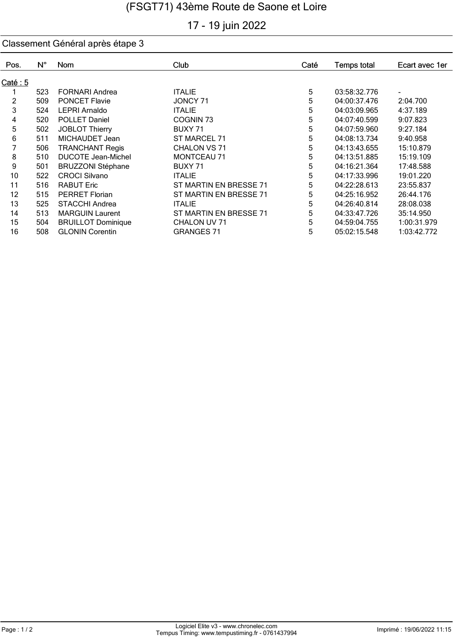# 17 - 19 juin 2022

| Pos.     | $N^{\circ}$ | <b>Nom</b>                | Club                   | Caté | <b>Temps total</b> | Ecart avec 1er |
|----------|-------------|---------------------------|------------------------|------|--------------------|----------------|
| Caté : 5 |             |                           |                        |      |                    |                |
|          | 523         | <b>FORNARI Andrea</b>     | <b>ITALIE</b>          | 5    | 03:58:32.776       | ٠              |
| 2        | 509         | <b>PONCET Flavie</b>      | JONCY 71               | 5    | 04:00:37.476       | 2:04.700       |
| 3        | 524         | <b>LEPRI Arnaldo</b>      | <b>ITALIE</b>          | 5    | 04:03:09.965       | 4:37.189       |
| 4        | 520         | <b>POLLET Daniel</b>      | COGNIN <sub>73</sub>   | 5    | 04:07:40.599       | 9:07.823       |
| 5        | 502         | <b>JOBLOT Thierry</b>     | BUXY 71                | 5    | 04:07:59.960       | 9:27.184       |
| 6        | 511         | MICHAUDET Jean            | ST MARCEL 71           | 5    | 04:08:13.734       | 9:40.958       |
| 7        | 506         | <b>TRANCHANT Regis</b>    | CHALON VS 71           | 5    | 04:13:43.655       | 15:10.879      |
| 8        | 510         | <b>DUCOTE Jean-Michel</b> | <b>MONTCEAU 71</b>     | 5    | 04:13:51.885       | 15:19.109      |
| 9        | 501         | <b>BRUZZONI Stéphane</b>  | BUXY 71                | 5    | 04:16:21.364       | 17:48.588      |
| 10       | 522         | <b>CROCI Silvano</b>      | <b>ITALIE</b>          | 5    | 04:17:33.996       | 19:01.220      |
| 11       | 516         | <b>RABUT Eric</b>         | ST MARTIN EN BRESSE 71 | 5    | 04:22:28.613       | 23:55.837      |
| 12       | 515         | <b>PERRET Florian</b>     | ST MARTIN EN BRESSE 71 | 5    | 04:25:16.952       | 26:44.176      |
| 13       | 525         | <b>STACCHI Andrea</b>     | <b>ITALIE</b>          | 5    | 04:26:40.814       | 28:08.038      |
| 14       | 513         | <b>MARGUIN Laurent</b>    | ST MARTIN EN BRESSE 71 | 5    | 04:33:47.726       | 35:14.950      |
| 15       | 504         | <b>BRUILLOT Dominique</b> | CHALON UV 71           | 5    | 04:59:04.755       | 1:00:31.979    |
| 16       | 508         | <b>GLONIN Corentin</b>    | <b>GRANGES 71</b>      | 5    | 05:02:15.548       | 1:03:42.772    |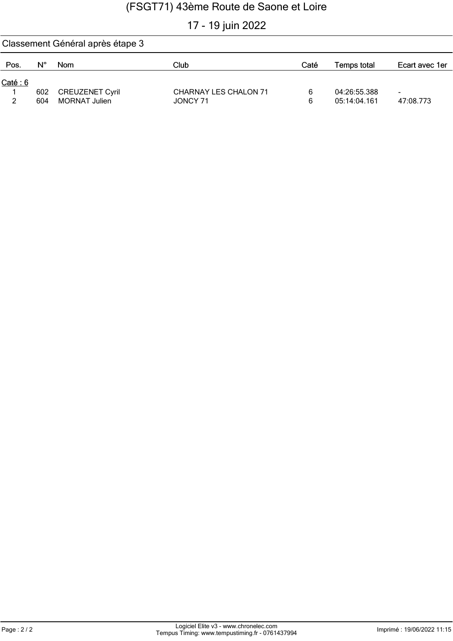# 17 - 19 juin 2022

|         | Classement Général après étape 3 |                        |                              |      |              |                |  |  |  |  |  |
|---------|----------------------------------|------------------------|------------------------------|------|--------------|----------------|--|--|--|--|--|
| Pos.    | $N^{\circ}$                      | <b>Nom</b>             | Club                         | Caté | Temps total  | Ecart avec 1er |  |  |  |  |  |
| Caté: 6 |                                  |                        |                              |      |              |                |  |  |  |  |  |
|         | 602                              | <b>CREUZENET Cyril</b> | <b>CHARNAY LES CHALON 71</b> |      | 04:26:55.388 | -              |  |  |  |  |  |
| ົ       | 604                              | MORNAT Julien          | JONCY 71                     | 6    | 05:14:04.161 | 47:08.773      |  |  |  |  |  |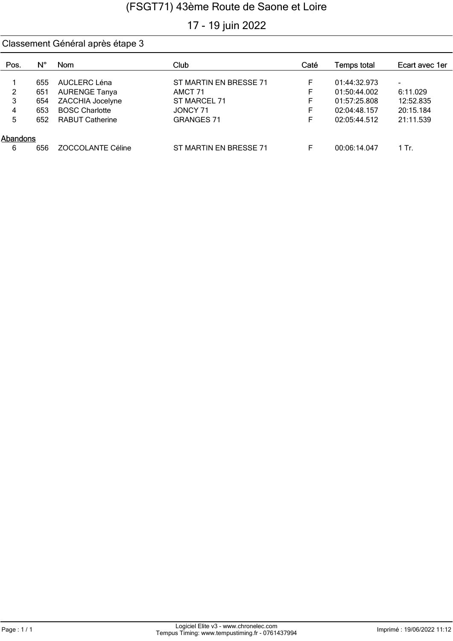# 17 - 19 juin 2022

| Pos.     | N°  | <b>Nom</b>               | Club                   | Caté | Temps total  | Ecart avec 1er |
|----------|-----|--------------------------|------------------------|------|--------------|----------------|
|          | 655 | AUCLERC Léna             | ST MARTIN EN BRESSE 71 | F    | 01:44:32.973 | ۰              |
| 2        | 651 | <b>AURENGE Tanya</b>     | AMCT 71                | F    | 01:50:44.002 | 6:11.029       |
| 3        | 654 | ZACCHIA Jocelyne         | ST MARCEL 71           | F    | 01:57:25.808 | 12:52.835      |
| 4        | 653 | <b>BOSC Charlotte</b>    | JONCY 71               |      | 02:04:48.157 | 20:15.184      |
| 5        | 652 | <b>RABUT Catherine</b>   | <b>GRANGES 71</b>      |      | 02:05:44.512 | 21:11.539      |
| Abandons |     |                          |                        |      |              |                |
| 6        | 656 | <b>ZOCCOLANTE Céline</b> | ST MARTIN EN BRESSE 71 |      | 00:06:14.047 | 1 Tr.          |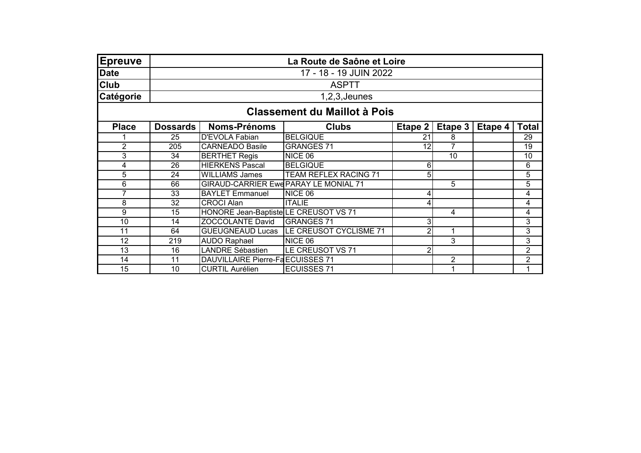| Epreuve         | La Route de Saône et Loire          |                                       |                                           |         |                |         |                |  |  |  |
|-----------------|-------------------------------------|---------------------------------------|-------------------------------------------|---------|----------------|---------|----------------|--|--|--|
| Date            | 17 - 18 - 19 JUIN 2022              |                                       |                                           |         |                |         |                |  |  |  |
| <b>Club</b>     |                                     |                                       | <b>ASPTT</b>                              |         |                |         |                |  |  |  |
| Catégorie       |                                     |                                       | $1,2,3$ , Jeunes                          |         |                |         |                |  |  |  |
|                 | <b>Classement du Maillot à Pois</b> |                                       |                                           |         |                |         |                |  |  |  |
| <b>Place</b>    | <b>Dossards</b>                     | <b>Noms-Prénoms</b>                   | <b>Clubs</b>                              | Etape 2 | Etape 3        | Etape 4 | <b>Total</b>   |  |  |  |
|                 | 25                                  | <b>D'EVOLA Fabian</b>                 | <b>BELGIQUE</b>                           | 21      | 8              |         | 29             |  |  |  |
| $\overline{2}$  | 205                                 | <b>CARNEADO Basile</b>                | <b>GRANGES 71</b>                         | 12      | 7              |         | 19             |  |  |  |
| 3               | 34                                  | <b>BERTHET Regis</b>                  | NICE 06                                   |         | 10             |         | 10             |  |  |  |
| 4               | 26                                  | <b>HIERKENS Pascal</b>                | <b>BELGIQUE</b>                           | 6       |                |         | 6              |  |  |  |
| 5               | 24                                  | <b>WILLIAMS James</b>                 | TEAM REFLEX RACING 71                     | 5       |                |         | 5              |  |  |  |
| 6               | 66                                  | GIRAUD-CARRIER Ewe PARAY LE MONIAL 71 |                                           |         | 5              |         | 5              |  |  |  |
| $\overline{7}$  | 33                                  | <b>BAYLET Emmanuel</b>                | NICE 06                                   | 4       |                |         | 4              |  |  |  |
| 8               | 32                                  | <b>CROCI Alan</b>                     | <b>ITALIE</b>                             | 4       |                |         | 4              |  |  |  |
| 9               | 15                                  | HONORE Jean-Baptiste LE CREUSOT VS 71 |                                           |         | 4              |         | 4              |  |  |  |
| 10              | 14                                  | <b>ZOCCOLANTE David</b>               | <b>GRANGES 71</b>                         | 3       |                |         | 3              |  |  |  |
| 11              | 64                                  |                                       | GUEUGNEAUD Lucas   LE CREUSOT CYCLISME 71 |         | 1              |         | 3              |  |  |  |
| $\overline{12}$ | 219                                 | <b>AUDO Raphael</b>                   | NICE 06                                   |         | $\overline{3}$ |         | $\overline{3}$ |  |  |  |
| 13              | 16                                  | <b>LANDRE Sébastien</b>               | LE CREUSOT VS 71                          | 2       |                |         | $\overline{2}$ |  |  |  |
| 14              | 11                                  | DAUVILLAIRE Pierre-FaECUISSES 71      |                                           |         | $\overline{2}$ |         | $\overline{2}$ |  |  |  |
| $\overline{15}$ | 10                                  | <b>CURTIL Aurélien</b>                | <b>ECUISSES 71</b>                        |         |                |         |                |  |  |  |